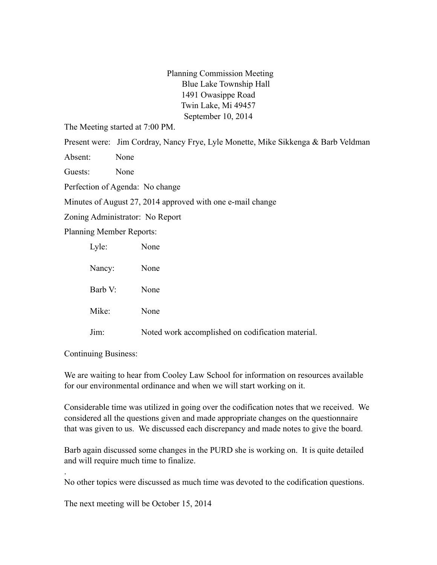Planning Commission Meeting Blue Lake Township Hall 1491 Owasippe Road Twin Lake, Mi 49457 September 10, 2014

The Meeting started at 7:00 PM.

Present were: Jim Cordray, Nancy Frye, Lyle Monette, Mike Sikkenga & Barb Veldman

Absent: None

Guests: None

Perfection of Agenda: No change

Minutes of August 27, 2014 approved with one e-mail change

Zoning Administrator: No Report

Planning Member Reports:

| Lyle:   | None                                              |
|---------|---------------------------------------------------|
| Nancy:  | None                                              |
| Barb V: | None                                              |
| Mike:   | None                                              |
| Jim:    | Noted work accomplished on codification material. |

Continuing Business:

.

We are waiting to hear from Cooley Law School for information on resources available for our environmental ordinance and when we will start working on it.

Considerable time was utilized in going over the codification notes that we received. We considered all the questions given and made appropriate changes on the questionnaire that was given to us. We discussed each discrepancy and made notes to give the board.

Barb again discussed some changes in the PURD she is working on. It is quite detailed and will require much time to finalize.

No other topics were discussed as much time was devoted to the codification questions.

The next meeting will be October 15, 2014